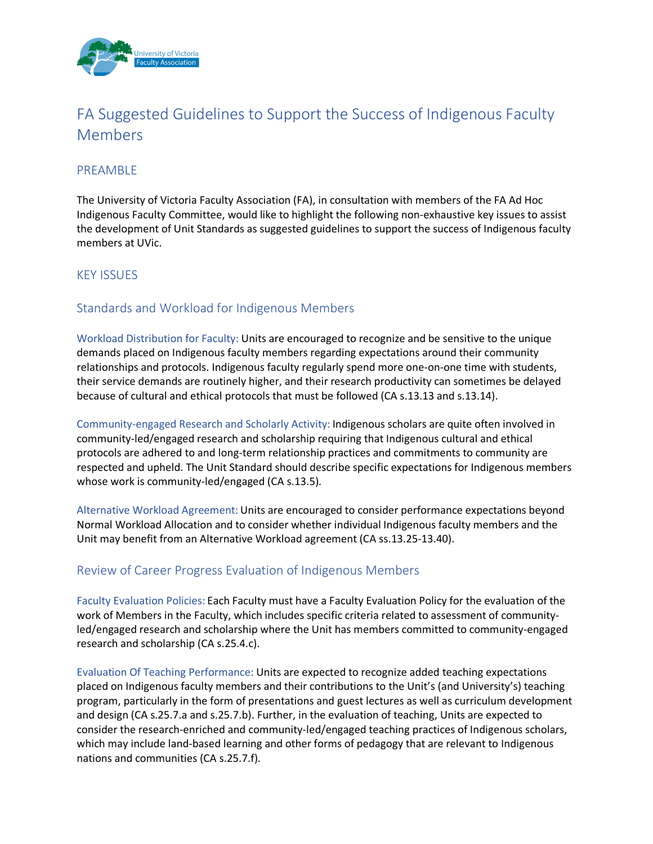

# FA Suggested Guidelines to Support the Success of Indigenous Faculty Members

## PREAMBLE

The University of Victoria Faculty Association (FA), in consultation with members of the FA Ad Hoc Indigenous Faculty Committee, would like to highlight the following non-exhaustive key issues to assist the development of Unit Standards as suggested guidelines to support the success of Indigenous faculty members at UVic.

## KEY ISSUES

# Standards and Workload for Indigenous Members

Workload Distribution for Faculty: Units are encouraged to recognize and be sensitive to the unique demands placed on Indigenous faculty members regarding expectations around their community relationships and protocols. Indigenous faculty regularly spend more one-on-one time with students, their service demands are routinely higher, and their research productivity can sometimes be delayed because of cultural and ethical protocols that must be followed (CA s.13.13 and s.13.14).

Community-engaged Research and Scholarly Activity: Indigenous scholars are quite often involved in community-led/engaged research and scholarship requiring that Indigenous cultural and ethical protocols are adhered to and long-term relationship practices and commitments to community are respected and upheld. The Unit Standard should describe specific expectations for Indigenous members whose work is community-led/engaged (CA s.13.5).

Alternative Workload Agreement: Units are encouraged to consider performance expectations beyond Normal Workload Allocation and to consider whether individual Indigenous faculty members and the Unit may benefit from an Alternative Workload agreement (CA ss.13.25-13.40).

## Review of Career Progress Evaluation of Indigenous Members

Faculty Evaluation Policies: Each Faculty must have a Faculty Evaluation Policy for the evaluation of the work of Members in the Faculty, which includes specific criteria related to assessment of communityled/engaged research and scholarship where the Unit has members committed to community-engaged research and scholarship (CA s.25.4.c).

Evaluation Of Teaching Performance: Units are expected to recognize added teaching expectations placed on Indigenous faculty members and their contributions to the Unit's (and University's) teaching program, particularly in the form of presentations and guest lectures as well as curriculum development and design (CA s.25.7.a and s.25.7.b). Further, in the evaluation of teaching, Units are expected to consider the research-enriched and community-led/engaged teaching practices of Indigenous scholars, which may include land-based learning and other forms of pedagogy that are relevant to Indigenous nations and communities (CA s.25.7.f).